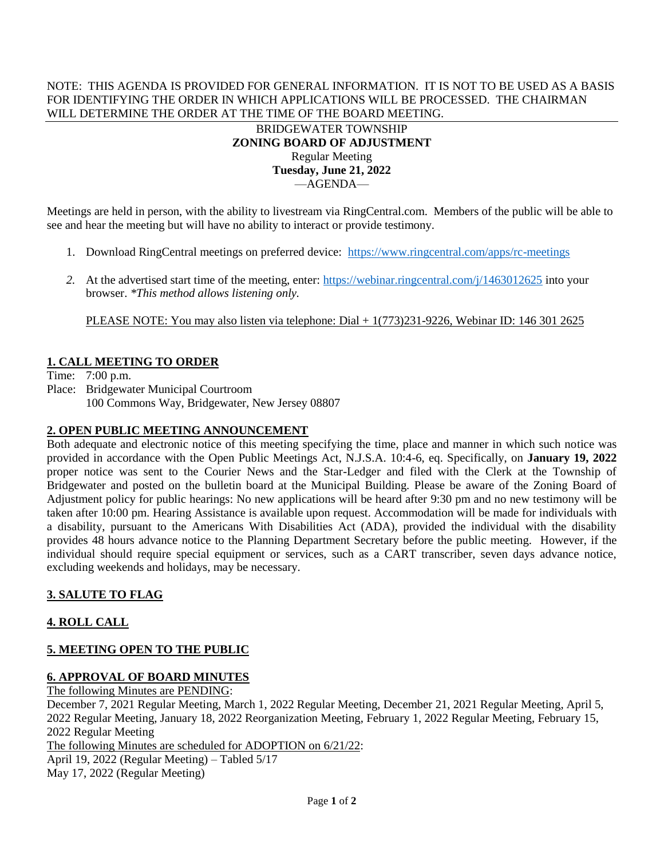#### NOTE: THIS AGENDA IS PROVIDED FOR GENERAL INFORMATION. IT IS NOT TO BE USED AS A BASIS FOR IDENTIFYING THE ORDER IN WHICH APPLICATIONS WILL BE PROCESSED. THE CHAIRMAN WILL DETERMINE THE ORDER AT THE TIME OF THE BOARD MEETING.

#### BRIDGEWATER TOWNSHIP **ZONING BOARD OF ADJUSTMENT** Regular Meeting **Tuesday, June 21, 2022** —AGENDA—

Meetings are held in person, with the ability to livestream via RingCentral.com. Members of the public will be able to see and hear the meeting but will have no ability to interact or provide testimony.

- 1. Download RingCentral meetings on preferred device: <https://www.ringcentral.com/apps/rc-meetings>
- 2. At the advertised start time of the meeting, enter: <https://webinar.ringcentral.com/j/1463012625> into your browser. *\*This method allows listening only.*

PLEASE NOTE: You may also listen via telephone: Dial + 1(773)231-9226, Webinar ID: 146 301 2625

# **1. CALL MEETING TO ORDER**

Time: 7:00 p.m.

Place: Bridgewater Municipal Courtroom 100 Commons Way, Bridgewater, New Jersey 08807

#### **2. OPEN PUBLIC MEETING ANNOUNCEMENT**

Both adequate and electronic notice of this meeting specifying the time, place and manner in which such notice was provided in accordance with the Open Public Meetings Act, N.J.S.A. 10:4-6, eq. Specifically, on **January 19, 2022** proper notice was sent to the Courier News and the Star-Ledger and filed with the Clerk at the Township of Bridgewater and posted on the bulletin board at the Municipal Building. Please be aware of the Zoning Board of Adjustment policy for public hearings: No new applications will be heard after 9:30 pm and no new testimony will be taken after 10:00 pm. Hearing Assistance is available upon request. Accommodation will be made for individuals with a disability, pursuant to the Americans With Disabilities Act (ADA), provided the individual with the disability provides 48 hours advance notice to the Planning Department Secretary before the public meeting. However, if the individual should require special equipment or services, such as a CART transcriber, seven days advance notice, excluding weekends and holidays, may be necessary.

## **3. SALUTE TO FLAG**

## **4. ROLL CALL**

# **5. MEETING OPEN TO THE PUBLIC**

# **6. APPROVAL OF BOARD MINUTES**

The following Minutes are PENDING:

December 7, 2021 Regular Meeting, March 1, 2022 Regular Meeting, December 21, 2021 Regular Meeting, April 5, 2022 Regular Meeting, January 18, 2022 Reorganization Meeting, February 1, 2022 Regular Meeting, February 15, 2022 Regular Meeting The following Minutes are scheduled for ADOPTION on 6/21/22: April 19, 2022 (Regular Meeting) – Tabled 5/17

May 17, 2022 (Regular Meeting)